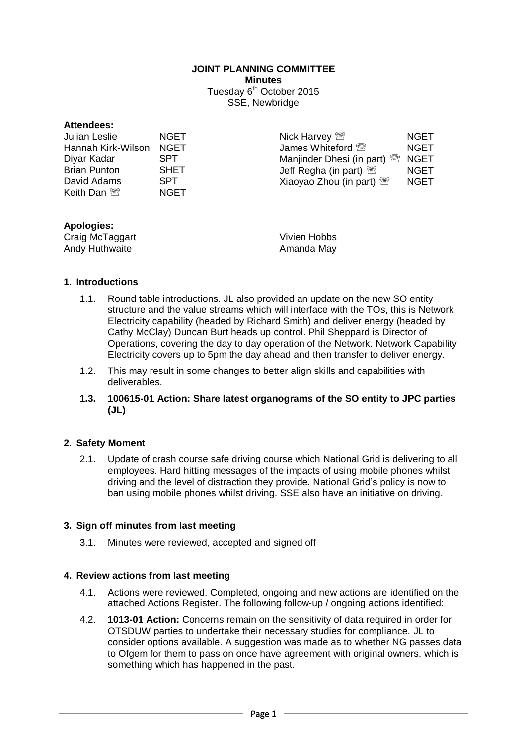### **JOINT PLANNING COMMITTEE Minutes**

Tuesday 6<sup>th</sup> October 2015 SSE, Newbridge

| Julian Leslie          | NGET.       | Nick Harvey <sup>2</sup>                 | <b>NGET</b> |
|------------------------|-------------|------------------------------------------|-------------|
| Hannah Kirk-Wilson     | <b>NGET</b> | James Whiteford <sup>®</sup>             | <b>NGET</b> |
| Diyar Kadar            | SPT         | Manjinder Dhesi (in part) $\mathbb{R}^n$ | <b>NGET</b> |
| <b>Brian Punton</b>    | <b>SHET</b> | Jeff Regha (in part) $\mathbb{R}$        | <b>NGET</b> |
| David Adams            | <b>SPT</b>  | Xiaoyao Zhou (in part) $\mathbb{R}$      | <b>NGET</b> |
| Keith Dan $\mathbb{B}$ | <b>NGET</b> |                                          |             |
|                        |             |                                          |             |

## **Apologies:**

Craig McTaggart Andy Huthwaite

Vivien Hobbs Amanda May

## **1. Introductions**

- 1.1. Round table introductions. JL also provided an update on the new SO entity structure and the value streams which will interface with the TOs, this is Network Electricity capability (headed by Richard Smith) and deliver energy (headed by Cathy McClay) Duncan Burt heads up control. Phil Sheppard is Director of Operations, covering the day to day operation of the Network. Network Capability Electricity covers up to 5pm the day ahead and then transfer to deliver energy.
- 1.2. This may result in some changes to better align skills and capabilities with deliverables.
- **1.3. 100615-01 Action: Share latest organograms of the SO entity to JPC parties (JL)**

## **2. Safety Moment**

2.1. Update of crash course safe driving course which National Grid is delivering to all employees. Hard hitting messages of the impacts of using mobile phones whilst driving and the level of distraction they provide. National Grid's policy is now to ban using mobile phones whilst driving. SSE also have an initiative on driving.

### **3. Sign off minutes from last meeting**

3.1. Minutes were reviewed, accepted and signed off

### **4. Review actions from last meeting**

- 4.1. Actions were reviewed. Completed, ongoing and new actions are identified on the attached Actions Register. The following follow-up / ongoing actions identified:
- 4.2. **1013-01 Action:** Concerns remain on the sensitivity of data required in order for OTSDUW parties to undertake their necessary studies for compliance. JL to consider options available. A suggestion was made as to whether NG passes data to Ofgem for them to pass on once have agreement with original owners, which is something which has happened in the past.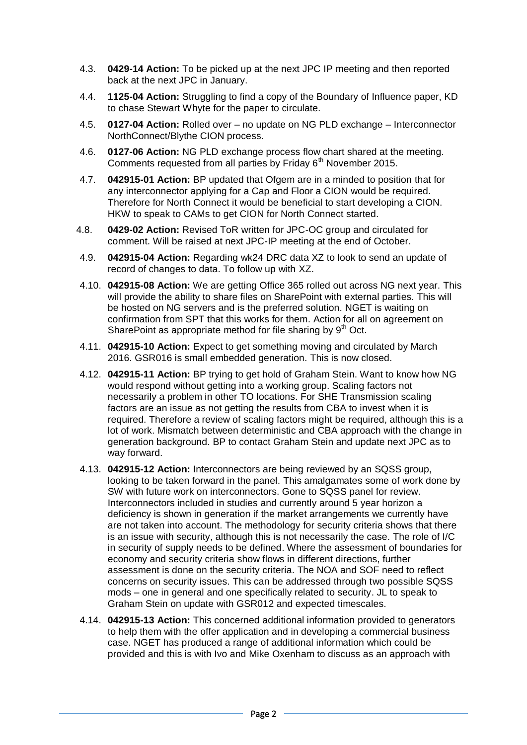- 4.3. **0429-14 Action:** To be picked up at the next JPC IP meeting and then reported back at the next JPC in January.
- 4.4. **1125-04 Action:** Struggling to find a copy of the Boundary of Influence paper, KD to chase Stewart Whyte for the paper to circulate.
- 4.5. **0127-04 Action:** Rolled over no update on NG PLD exchange Interconnector NorthConnect/Blythe CION process.
- 4.6. **0127-06 Action:** NG PLD exchange process flow chart shared at the meeting. Comments requested from all parties by Friday 6<sup>th</sup> November 2015.
- 4.7. **042915-01 Action:** BP updated that Ofgem are in a minded to position that for any interconnector applying for a Cap and Floor a CION would be required. Therefore for North Connect it would be beneficial to start developing a CION. HKW to speak to CAMs to get CION for North Connect started.
- 4.8. **0429-02 Action:** Revised ToR written for JPC-OC group and circulated for comment. Will be raised at next JPC-IP meeting at the end of October.
- 4.9. **042915-04 Action:** Regarding wk24 DRC data XZ to look to send an update of record of changes to data. To follow up with XZ.
- 4.10. **042915-08 Action:** We are getting Office 365 rolled out across NG next year. This will provide the ability to share files on SharePoint with external parties. This will be hosted on NG servers and is the preferred solution. NGET is waiting on confirmation from SPT that this works for them. Action for all on agreement on SharePoint as appropriate method for file sharing by  $9<sup>th</sup>$  Oct.
- 4.11. **042915-10 Action:** Expect to get something moving and circulated by March 2016. GSR016 is small embedded generation. This is now closed.
- 4.12. **042915-11 Action:** BP trying to get hold of Graham Stein. Want to know how NG would respond without getting into a working group. Scaling factors not necessarily a problem in other TO locations. For SHE Transmission scaling factors are an issue as not getting the results from CBA to invest when it is required. Therefore a review of scaling factors might be required, although this is a lot of work. Mismatch between deterministic and CBA approach with the change in generation background. BP to contact Graham Stein and update next JPC as to way forward.
- 4.13. **042915-12 Action:** Interconnectors are being reviewed by an SQSS group, looking to be taken forward in the panel. This amalgamates some of work done by SW with future work on interconnectors. Gone to SQSS panel for review. Interconnectors included in studies and currently around 5 year horizon a deficiency is shown in generation if the market arrangements we currently have are not taken into account. The methodology for security criteria shows that there is an issue with security, although this is not necessarily the case. The role of I/C in security of supply needs to be defined. Where the assessment of boundaries for economy and security criteria show flows in different directions, further assessment is done on the security criteria. The NOA and SOF need to reflect concerns on security issues. This can be addressed through two possible SQSS mods – one in general and one specifically related to security. JL to speak to Graham Stein on update with GSR012 and expected timescales.
- 4.14. **042915-13 Action:** This concerned additional information provided to generators to help them with the offer application and in developing a commercial business case. NGET has produced a range of additional information which could be provided and this is with Ivo and Mike Oxenham to discuss as an approach with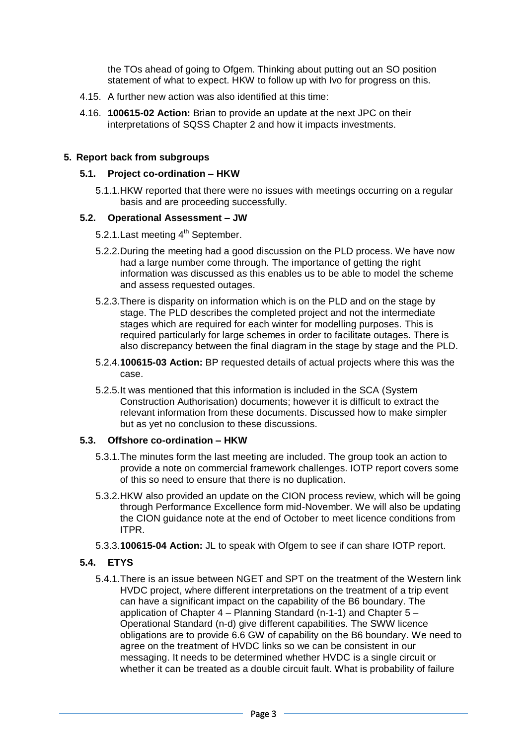the TOs ahead of going to Ofgem. Thinking about putting out an SO position statement of what to expect. HKW to follow up with Ivo for progress on this.

- 4.15. A further new action was also identified at this time:
- 4.16. **100615-02 Action:** Brian to provide an update at the next JPC on their interpretations of SQSS Chapter 2 and how it impacts investments.

#### **5. Report back from subgroups**

#### **5.1. Project co-ordination – HKW**

5.1.1.HKW reported that there were no issues with meetings occurring on a regular basis and are proceeding successfully.

#### **5.2. Operational Assessment – JW**

- 5.2.1. Last meeting  $4<sup>th</sup>$  September.
- 5.2.2.During the meeting had a good discussion on the PLD process. We have now had a large number come through. The importance of getting the right information was discussed as this enables us to be able to model the scheme and assess requested outages.
- 5.2.3.There is disparity on information which is on the PLD and on the stage by stage. The PLD describes the completed project and not the intermediate stages which are required for each winter for modelling purposes. This is required particularly for large schemes in order to facilitate outages. There is also discrepancy between the final diagram in the stage by stage and the PLD.
- 5.2.4.**100615-03 Action:** BP requested details of actual projects where this was the case.
- 5.2.5.It was mentioned that this information is included in the SCA (System Construction Authorisation) documents; however it is difficult to extract the relevant information from these documents. Discussed how to make simpler but as yet no conclusion to these discussions.

### **5.3. Offshore co-ordination – HKW**

- 5.3.1.The minutes form the last meeting are included. The group took an action to provide a note on commercial framework challenges. IOTP report covers some of this so need to ensure that there is no duplication.
- 5.3.2.HKW also provided an update on the CION process review, which will be going through Performance Excellence form mid-November. We will also be updating the CION guidance note at the end of October to meet licence conditions from ITPR.
- 5.3.3.**100615-04 Action:** JL to speak with Ofgem to see if can share IOTP report.

## **5.4. ETYS**

5.4.1.There is an issue between NGET and SPT on the treatment of the Western link HVDC project, where different interpretations on the treatment of a trip event can have a significant impact on the capability of the B6 boundary. The application of Chapter 4 – Planning Standard (n-1-1) and Chapter 5 – Operational Standard (n-d) give different capabilities. The SWW licence obligations are to provide 6.6 GW of capability on the B6 boundary. We need to agree on the treatment of HVDC links so we can be consistent in our messaging. It needs to be determined whether HVDC is a single circuit or whether it can be treated as a double circuit fault. What is probability of failure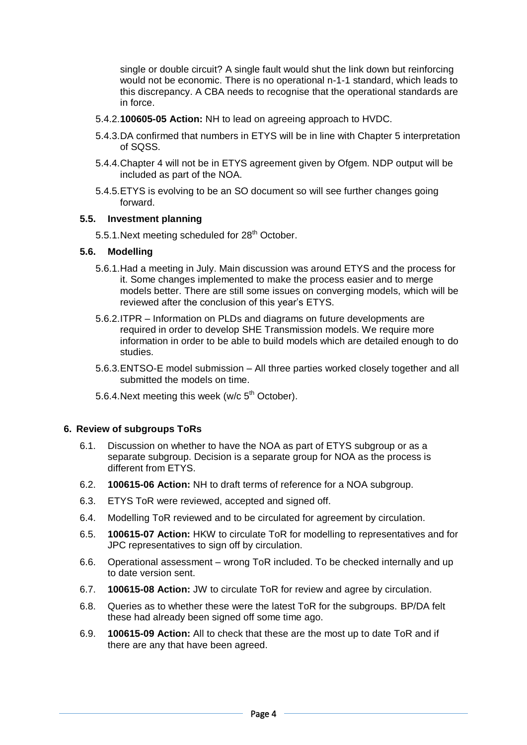single or double circuit? A single fault would shut the link down but reinforcing would not be economic. There is no operational n-1-1 standard, which leads to this discrepancy. A CBA needs to recognise that the operational standards are in force.

- 5.4.2.**100605-05 Action:** NH to lead on agreeing approach to HVDC.
- 5.4.3.DA confirmed that numbers in ETYS will be in line with Chapter 5 interpretation of SQSS.
- 5.4.4.Chapter 4 will not be in ETYS agreement given by Ofgem. NDP output will be included as part of the NOA.
- 5.4.5.ETYS is evolving to be an SO document so will see further changes going forward.

### **5.5. Investment planning**

5.5.1. Next meeting scheduled for 28<sup>th</sup> October.

### **5.6. Modelling**

- 5.6.1.Had a meeting in July. Main discussion was around ETYS and the process for it. Some changes implemented to make the process easier and to merge models better. There are still some issues on converging models, which will be reviewed after the conclusion of this year's ETYS.
- 5.6.2.ITPR Information on PLDs and diagrams on future developments are required in order to develop SHE Transmission models. We require more information in order to be able to build models which are detailed enough to do studies.
- 5.6.3.ENTSO-E model submission All three parties worked closely together and all submitted the models on time.
- 5.6.4. Next meeting this week (w/c  $5<sup>th</sup>$  October).

### **6. Review of subgroups ToRs**

- 6.1. Discussion on whether to have the NOA as part of ETYS subgroup or as a separate subgroup. Decision is a separate group for NOA as the process is different from ETYS.
- 6.2. **100615-06 Action:** NH to draft terms of reference for a NOA subgroup.
- 6.3. ETYS ToR were reviewed, accepted and signed off.
- 6.4. Modelling ToR reviewed and to be circulated for agreement by circulation.
- 6.5. **100615-07 Action:** HKW to circulate ToR for modelling to representatives and for JPC representatives to sign off by circulation.
- 6.6. Operational assessment wrong ToR included. To be checked internally and up to date version sent.
- 6.7. **100615-08 Action:** JW to circulate ToR for review and agree by circulation.
- 6.8. Queries as to whether these were the latest ToR for the subgroups. BP/DA felt these had already been signed off some time ago.
- 6.9. **100615-09 Action:** All to check that these are the most up to date ToR and if there are any that have been agreed.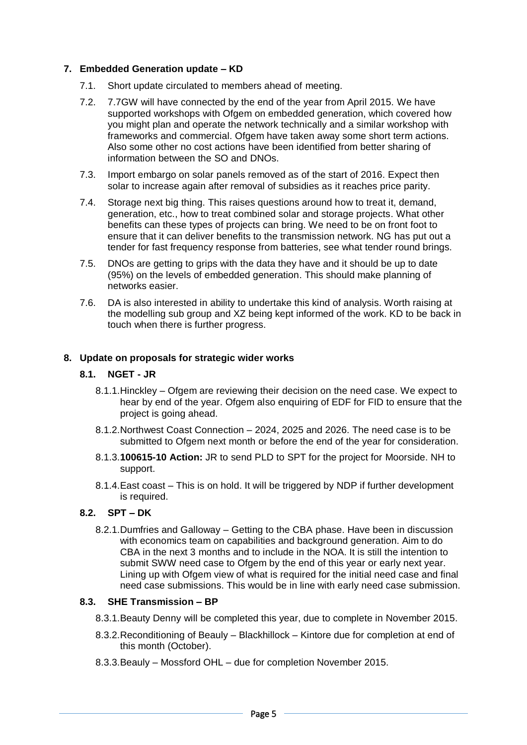## **7. Embedded Generation update – KD**

- 7.1. Short update circulated to members ahead of meeting.
- 7.2. 7.7GW will have connected by the end of the year from April 2015. We have supported workshops with Ofgem on embedded generation, which covered how you might plan and operate the network technically and a similar workshop with frameworks and commercial. Ofgem have taken away some short term actions. Also some other no cost actions have been identified from better sharing of information between the SO and DNOs.
- 7.3. Import embargo on solar panels removed as of the start of 2016. Expect then solar to increase again after removal of subsidies as it reaches price parity.
- 7.4. Storage next big thing. This raises questions around how to treat it, demand, generation, etc., how to treat combined solar and storage projects. What other benefits can these types of projects can bring. We need to be on front foot to ensure that it can deliver benefits to the transmission network. NG has put out a tender for fast frequency response from batteries, see what tender round brings.
- 7.5. DNOs are getting to grips with the data they have and it should be up to date (95%) on the levels of embedded generation. This should make planning of networks easier.
- 7.6. DA is also interested in ability to undertake this kind of analysis. Worth raising at the modelling sub group and XZ being kept informed of the work. KD to be back in touch when there is further progress.

## **8. Update on proposals for strategic wider works**

## **8.1. NGET - JR**

- 8.1.1.Hinckley Ofgem are reviewing their decision on the need case. We expect to hear by end of the year. Ofgem also enquiring of EDF for FID to ensure that the project is going ahead.
- 8.1.2.Northwest Coast Connection 2024, 2025 and 2026. The need case is to be submitted to Ofgem next month or before the end of the year for consideration.
- 8.1.3.**100615-10 Action:** JR to send PLD to SPT for the project for Moorside. NH to support.
- 8.1.4.East coast This is on hold. It will be triggered by NDP if further development is required.

## **8.2. SPT – DK**

8.2.1.Dumfries and Galloway – Getting to the CBA phase. Have been in discussion with economics team on capabilities and background generation. Aim to do CBA in the next 3 months and to include in the NOA. It is still the intention to submit SWW need case to Ofgem by the end of this year or early next year. Lining up with Ofgem view of what is required for the initial need case and final need case submissions. This would be in line with early need case submission.

### **8.3. SHE Transmission – BP**

- 8.3.1.Beauty Denny will be completed this year, due to complete in November 2015.
- 8.3.2.Reconditioning of Beauly Blackhillock Kintore due for completion at end of this month (October).
- 8.3.3.Beauly Mossford OHL due for completion November 2015.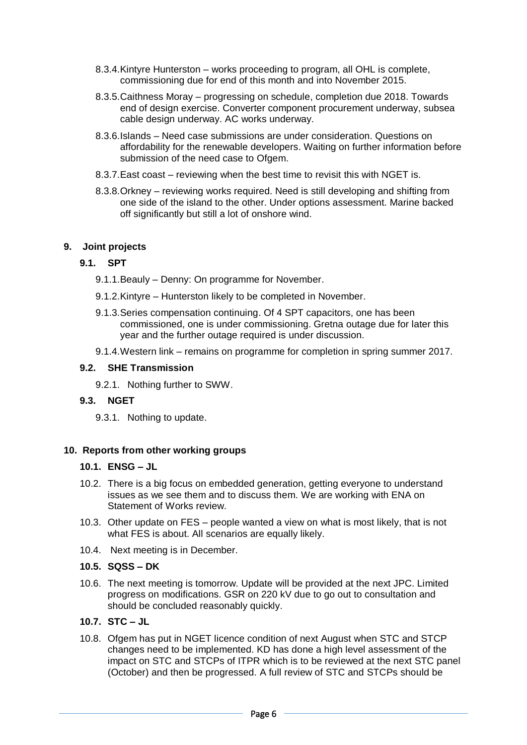- 8.3.4.Kintyre Hunterston works proceeding to program, all OHL is complete, commissioning due for end of this month and into November 2015.
- 8.3.5.Caithness Moray progressing on schedule, completion due 2018. Towards end of design exercise. Converter component procurement underway, subsea cable design underway. AC works underway.
- 8.3.6.Islands Need case submissions are under consideration. Questions on affordability for the renewable developers. Waiting on further information before submission of the need case to Ofgem.
- 8.3.7.East coast reviewing when the best time to revisit this with NGET is.
- 8.3.8.Orkney reviewing works required. Need is still developing and shifting from one side of the island to the other. Under options assessment. Marine backed off significantly but still a lot of onshore wind.

## **9. Joint projects**

## **9.1. SPT**

- 9.1.1.Beauly Denny: On programme for November.
- 9.1.2.Kintyre Hunterston likely to be completed in November.
- 9.1.3.Series compensation continuing. Of 4 SPT capacitors, one has been commissioned, one is under commissioning. Gretna outage due for later this year and the further outage required is under discussion.
- 9.1.4.Western link remains on programme for completion in spring summer 2017.

### **9.2. SHE Transmission**

9.2.1. Nothing further to SWW.

### **9.3. NGET**

9.3.1. Nothing to update.

## **10. Reports from other working groups**

### **10.1. ENSG – JL**

- 10.2. There is a big focus on embedded generation, getting everyone to understand issues as we see them and to discuss them. We are working with ENA on Statement of Works review.
- 10.3. Other update on FES people wanted a view on what is most likely, that is not what FES is about. All scenarios are equally likely.
- 10.4. Next meeting is in December.

### **10.5. SQSS – DK**

10.6. The next meeting is tomorrow. Update will be provided at the next JPC. Limited progress on modifications. GSR on 220 kV due to go out to consultation and should be concluded reasonably quickly.

## **10.7. STC – JL**

10.8. Ofgem has put in NGET licence condition of next August when STC and STCP changes need to be implemented. KD has done a high level assessment of the impact on STC and STCPs of ITPR which is to be reviewed at the next STC panel (October) and then be progressed. A full review of STC and STCPs should be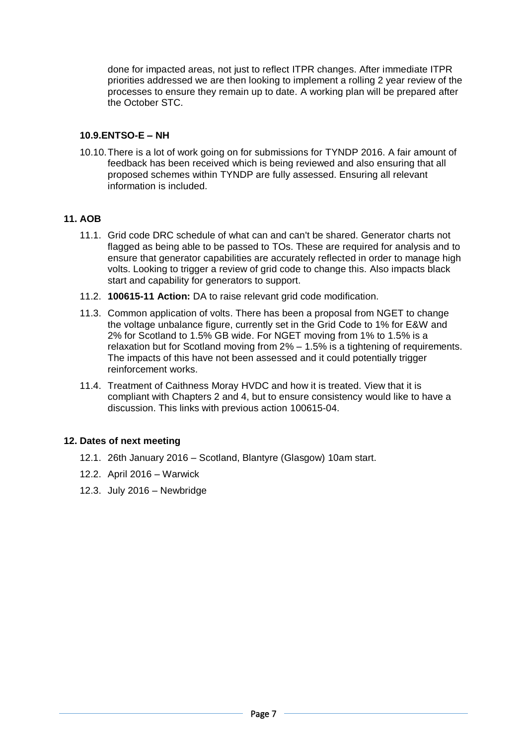done for impacted areas, not just to reflect ITPR changes. After immediate ITPR priorities addressed we are then looking to implement a rolling 2 year review of the processes to ensure they remain up to date. A working plan will be prepared after the October STC.

## **10.9.ENTSO-E – NH**

10.10.There is a lot of work going on for submissions for TYNDP 2016. A fair amount of feedback has been received which is being reviewed and also ensuring that all proposed schemes within TYNDP are fully assessed. Ensuring all relevant information is included.

## **11. AOB**

- 11.1. Grid code DRC schedule of what can and can't be shared. Generator charts not flagged as being able to be passed to TOs. These are required for analysis and to ensure that generator capabilities are accurately reflected in order to manage high volts. Looking to trigger a review of grid code to change this. Also impacts black start and capability for generators to support.
- 11.2. **100615-11 Action:** DA to raise relevant grid code modification.
- 11.3. Common application of volts. There has been a proposal from NGET to change the voltage unbalance figure, currently set in the Grid Code to 1% for E&W and 2% for Scotland to 1.5% GB wide. For NGET moving from 1% to 1.5% is a relaxation but for Scotland moving from 2% – 1.5% is a tightening of requirements. The impacts of this have not been assessed and it could potentially trigger reinforcement works.
- 11.4. Treatment of Caithness Moray HVDC and how it is treated. View that it is compliant with Chapters 2 and 4, but to ensure consistency would like to have a discussion. This links with previous action 100615-04.

### **12. Dates of next meeting**

- 12.1. 26th January 2016 Scotland, Blantyre (Glasgow) 10am start.
- 12.2. April 2016 Warwick
- 12.3. July 2016 Newbridge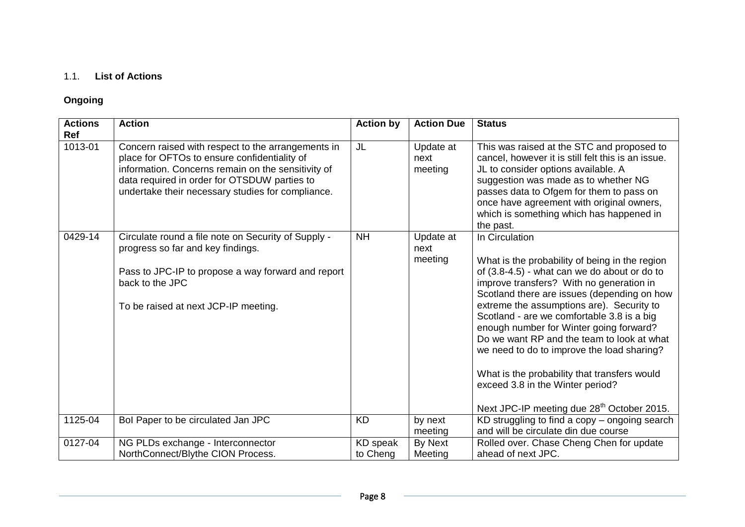# 1.1. **List of Actions**

# **Ongoing**

| <b>Actions</b><br>Ref | <b>Action</b>                                                                                                                                                                                                                                                 | <b>Action by</b>            | <b>Action Due</b>            | <b>Status</b>                                                                                                                                                                                                                                                                                                                     |
|-----------------------|---------------------------------------------------------------------------------------------------------------------------------------------------------------------------------------------------------------------------------------------------------------|-----------------------------|------------------------------|-----------------------------------------------------------------------------------------------------------------------------------------------------------------------------------------------------------------------------------------------------------------------------------------------------------------------------------|
| 1013-01               | Concern raised with respect to the arrangements in<br>place for OFTOs to ensure confidentiality of<br>information. Concerns remain on the sensitivity of<br>data required in order for OTSDUW parties to<br>undertake their necessary studies for compliance. | JL                          | Update at<br>next<br>meeting | This was raised at the STC and proposed to<br>cancel, however it is still felt this is an issue.<br>JL to consider options available. A<br>suggestion was made as to whether NG<br>passes data to Ofgem for them to pass on<br>once have agreement with original owners,<br>which is something which has happened in<br>the past. |
| 0429-14               | Circulate round a file note on Security of Supply -<br>progress so far and key findings.<br>Pass to JPC-IP to propose a way forward and report<br>back to the JPC                                                                                             | <b>NH</b>                   | Update at<br>next<br>meeting | In Circulation<br>What is the probability of being in the region<br>of (3.8-4.5) - what can we do about or do to<br>improve transfers? With no generation in                                                                                                                                                                      |
|                       | To be raised at next JCP-IP meeting.                                                                                                                                                                                                                          |                             |                              | Scotland there are issues (depending on how<br>extreme the assumptions are). Security to<br>Scotland - are we comfortable 3.8 is a big<br>enough number for Winter going forward?<br>Do we want RP and the team to look at what<br>we need to do to improve the load sharing?                                                     |
|                       |                                                                                                                                                                                                                                                               |                             |                              | What is the probability that transfers would<br>exceed 3.8 in the Winter period?<br>Next JPC-IP meeting due 28 <sup>th</sup> October 2015.                                                                                                                                                                                        |
| 1125-04               | Bol Paper to be circulated Jan JPC                                                                                                                                                                                                                            | <b>KD</b>                   | by next<br>meeting           | KD struggling to find a copy – ongoing search<br>and will be circulate din due course                                                                                                                                                                                                                                             |
| 0127-04               | NG PLDs exchange - Interconnector<br>NorthConnect/Blythe CION Process.                                                                                                                                                                                        | <b>KD</b> speak<br>to Cheng | By Next<br>Meeting           | Rolled over. Chase Cheng Chen for update<br>ahead of next JPC.                                                                                                                                                                                                                                                                    |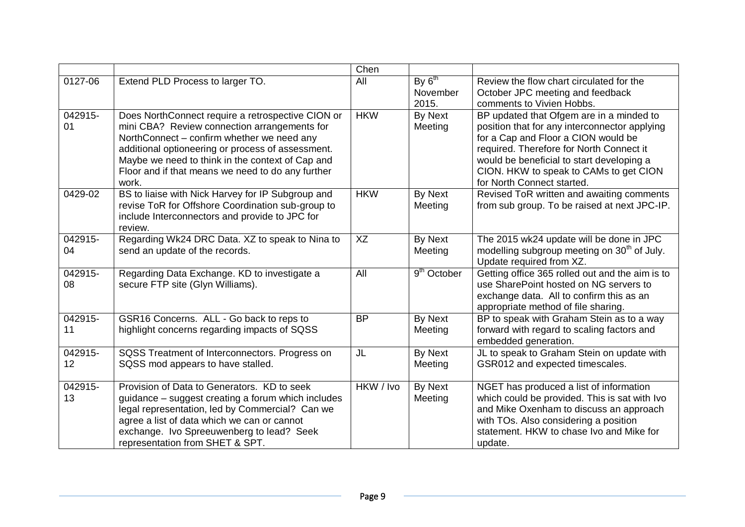|               |                                                                                                                                                                                                                                                                                                                        | Chen       |                                  |                                                                                                                                                                                                                                                                                                   |
|---------------|------------------------------------------------------------------------------------------------------------------------------------------------------------------------------------------------------------------------------------------------------------------------------------------------------------------------|------------|----------------------------------|---------------------------------------------------------------------------------------------------------------------------------------------------------------------------------------------------------------------------------------------------------------------------------------------------|
| 0127-06       | Extend PLD Process to larger TO.                                                                                                                                                                                                                                                                                       | All        | By $6^{th}$<br>November<br>2015. | Review the flow chart circulated for the<br>October JPC meeting and feedback<br>comments to Vivien Hobbs.                                                                                                                                                                                         |
| 042915-<br>01 | Does NorthConnect require a retrospective CION or<br>mini CBA? Review connection arrangements for<br>NorthConnect - confirm whether we need any<br>additional optioneering or process of assessment.<br>Maybe we need to think in the context of Cap and<br>Floor and if that means we need to do any further<br>work. | <b>HKW</b> | By Next<br>Meeting               | BP updated that Ofgem are in a minded to<br>position that for any interconnector applying<br>for a Cap and Floor a CION would be<br>required. Therefore for North Connect it<br>would be beneficial to start developing a<br>CION. HKW to speak to CAMs to get CION<br>for North Connect started. |
| 0429-02       | BS to liaise with Nick Harvey for IP Subgroup and<br>revise ToR for Offshore Coordination sub-group to<br>include Interconnectors and provide to JPC for<br>review.                                                                                                                                                    | <b>HKW</b> | <b>By Next</b><br>Meeting        | Revised ToR written and awaiting comments<br>from sub group. To be raised at next JPC-IP.                                                                                                                                                                                                         |
| 042915-<br>04 | Regarding Wk24 DRC Data. XZ to speak to Nina to<br>send an update of the records.                                                                                                                                                                                                                                      | XZ         | <b>By Next</b><br>Meeting        | The 2015 wk24 update will be done in JPC<br>modelling subgroup meeting on 30 <sup>th</sup> of July.<br>Update required from XZ.                                                                                                                                                                   |
| 042915-<br>08 | Regarding Data Exchange. KD to investigate a<br>secure FTP site (Glyn Williams).                                                                                                                                                                                                                                       | All        | $9th$ October                    | Getting office 365 rolled out and the aim is to<br>use SharePoint hosted on NG servers to<br>exchange data. All to confirm this as an<br>appropriate method of file sharing.                                                                                                                      |
| 042915-<br>11 | GSR16 Concerns. ALL - Go back to reps to<br>highlight concerns regarding impacts of SQSS                                                                                                                                                                                                                               | <b>BP</b>  | <b>By Next</b><br>Meeting        | BP to speak with Graham Stein as to a way<br>forward with regard to scaling factors and<br>embedded generation.                                                                                                                                                                                   |
| 042915-<br>12 | SQSS Treatment of Interconnectors. Progress on<br>SQSS mod appears to have stalled.                                                                                                                                                                                                                                    | <b>JL</b>  | <b>By Next</b><br>Meeting        | JL to speak to Graham Stein on update with<br>GSR012 and expected timescales.                                                                                                                                                                                                                     |
| 042915-<br>13 | Provision of Data to Generators. KD to seek<br>guidance – suggest creating a forum which includes<br>legal representation, led by Commercial? Can we<br>agree a list of data which we can or cannot<br>exchange. Ivo Spreeuwenberg to lead? Seek<br>representation from SHET & SPT.                                    | HKW / Ivo  | <b>By Next</b><br>Meeting        | NGET has produced a list of information<br>which could be provided. This is sat with Ivo<br>and Mike Oxenham to discuss an approach<br>with TOs. Also considering a position<br>statement. HKW to chase Ivo and Mike for<br>update.                                                               |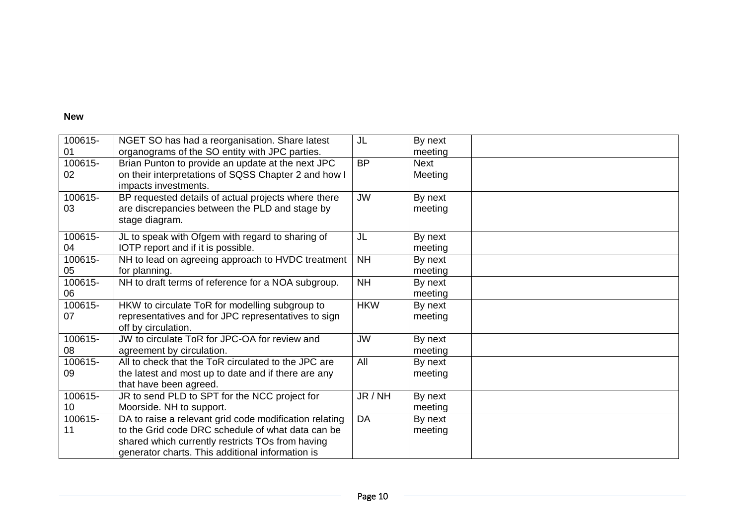### **New**

| 100615- | NGET SO has had a reorganisation. Share latest         | <b>JL</b>  | By next     |  |
|---------|--------------------------------------------------------|------------|-------------|--|
| 01      | organograms of the SO entity with JPC parties.         |            | meeting     |  |
| 100615- | Brian Punton to provide an update at the next JPC      | <b>BP</b>  | <b>Next</b> |  |
| 02      | on their interpretations of SQSS Chapter 2 and how I   |            | Meeting     |  |
|         | impacts investments.                                   |            |             |  |
| 100615- | BP requested details of actual projects where there    | <b>JW</b>  | By next     |  |
| 03      | are discrepancies between the PLD and stage by         |            | meeting     |  |
|         | stage diagram.                                         |            |             |  |
| 100615- | JL to speak with Ofgem with regard to sharing of       | JL         | By next     |  |
| 04      | IOTP report and if it is possible.                     |            | meeting     |  |
| 100615- | NH to lead on agreeing approach to HVDC treatment      | <b>NH</b>  | By next     |  |
| 05      | for planning.                                          |            | meeting     |  |
| 100615- | NH to draft terms of reference for a NOA subgroup.     | <b>NH</b>  | By next     |  |
| 06      |                                                        |            | meeting     |  |
| 100615- | HKW to circulate ToR for modelling subgroup to         | <b>HKW</b> | By next     |  |
| 07      | representatives and for JPC representatives to sign    |            | meeting     |  |
|         | off by circulation.                                    |            |             |  |
| 100615- | JW to circulate ToR for JPC-OA for review and          | <b>JW</b>  | By next     |  |
| 08      | agreement by circulation.                              |            | meeting     |  |
| 100615- | All to check that the ToR circulated to the JPC are    | All        | By next     |  |
| 09      | the latest and most up to date and if there are any    |            | meeting     |  |
|         | that have been agreed.                                 |            |             |  |
| 100615- | JR to send PLD to SPT for the NCC project for          | JR / NH    | By next     |  |
| 10      | Moorside. NH to support.                               |            | meeting     |  |
| 100615- | DA to raise a relevant grid code modification relating | <b>DA</b>  | By next     |  |
| 11      | to the Grid code DRC schedule of what data can be      |            | meeting     |  |
|         | shared which currently restricts TOs from having       |            |             |  |
|         | generator charts. This additional information is       |            |             |  |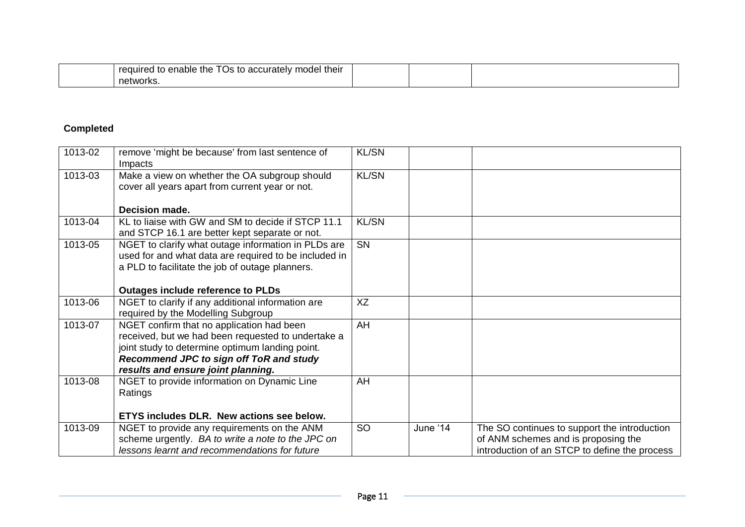| - -<br>the<br>model their<br>reauireo<br>l to enable i<br>'US<br>to accurately د |  |  |
|----------------------------------------------------------------------------------|--|--|
| networks.                                                                        |  |  |

# **Completed**

| 1013-02 | remove 'might be because' from last sentence of<br>Impacts                                                                                                                                                                          | <b>KL/SN</b> |          |                                                                                                                                      |
|---------|-------------------------------------------------------------------------------------------------------------------------------------------------------------------------------------------------------------------------------------|--------------|----------|--------------------------------------------------------------------------------------------------------------------------------------|
| 1013-03 | Make a view on whether the OA subgroup should<br>cover all years apart from current year or not.                                                                                                                                    | <b>KL/SN</b> |          |                                                                                                                                      |
|         | <b>Decision made.</b>                                                                                                                                                                                                               |              |          |                                                                                                                                      |
| 1013-04 | KL to liaise with GW and SM to decide if STCP 11.1<br>and STCP 16.1 are better kept separate or not.                                                                                                                                | <b>KL/SN</b> |          |                                                                                                                                      |
| 1013-05 | NGET to clarify what outage information in PLDs are<br>used for and what data are required to be included in<br>a PLD to facilitate the job of outage planners.                                                                     | <b>SN</b>    |          |                                                                                                                                      |
|         | <b>Outages include reference to PLDs</b>                                                                                                                                                                                            |              |          |                                                                                                                                      |
| 1013-06 | NGET to clarify if any additional information are<br>required by the Modelling Subgroup                                                                                                                                             | XZ           |          |                                                                                                                                      |
| 1013-07 | NGET confirm that no application had been<br>received, but we had been requested to undertake a<br>joint study to determine optimum landing point.<br>Recommend JPC to sign off ToR and study<br>results and ensure joint planning. | AH           |          |                                                                                                                                      |
| 1013-08 | NGET to provide information on Dynamic Line<br>Ratings                                                                                                                                                                              | AH           |          |                                                                                                                                      |
|         | ETYS includes DLR. New actions see below.                                                                                                                                                                                           |              |          |                                                                                                                                      |
| 1013-09 | NGET to provide any requirements on the ANM<br>scheme urgently. BA to write a note to the JPC on<br>lessons learnt and recommendations for future                                                                                   | <b>SO</b>    | June '14 | The SO continues to support the introduction<br>of ANM schemes and is proposing the<br>introduction of an STCP to define the process |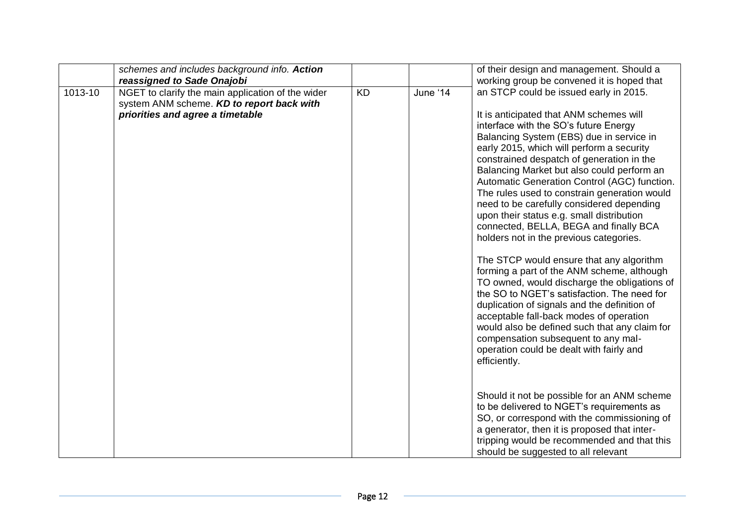|         | schemes and includes background info. Action<br>reassigned to Sade Onajobi                                                         |           |          | of their design and management. Should a<br>working group be convened it is hoped that                                                                                                                                                                                                                                                                                                                                                                                                                                                                                                                                                                                                                                                                                                                                                                                                                                                                                                                                                |
|---------|------------------------------------------------------------------------------------------------------------------------------------|-----------|----------|---------------------------------------------------------------------------------------------------------------------------------------------------------------------------------------------------------------------------------------------------------------------------------------------------------------------------------------------------------------------------------------------------------------------------------------------------------------------------------------------------------------------------------------------------------------------------------------------------------------------------------------------------------------------------------------------------------------------------------------------------------------------------------------------------------------------------------------------------------------------------------------------------------------------------------------------------------------------------------------------------------------------------------------|
| 1013-10 | NGET to clarify the main application of the wider<br>system ANM scheme. KD to report back with<br>priorities and agree a timetable | <b>KD</b> | June '14 | an STCP could be issued early in 2015.<br>It is anticipated that ANM schemes will<br>interface with the SO's future Energy<br>Balancing System (EBS) due in service in<br>early 2015, which will perform a security<br>constrained despatch of generation in the<br>Balancing Market but also could perform an<br>Automatic Generation Control (AGC) function.<br>The rules used to constrain generation would<br>need to be carefully considered depending<br>upon their status e.g. small distribution<br>connected, BELLA, BEGA and finally BCA<br>holders not in the previous categories.<br>The STCP would ensure that any algorithm<br>forming a part of the ANM scheme, although<br>TO owned, would discharge the obligations of<br>the SO to NGET's satisfaction. The need for<br>duplication of signals and the definition of<br>acceptable fall-back modes of operation<br>would also be defined such that any claim for<br>compensation subsequent to any mal-<br>operation could be dealt with fairly and<br>efficiently. |
|         |                                                                                                                                    |           |          | Should it not be possible for an ANM scheme<br>to be delivered to NGET's requirements as<br>SO, or correspond with the commissioning of<br>a generator, then it is proposed that inter-<br>tripping would be recommended and that this<br>should be suggested to all relevant                                                                                                                                                                                                                                                                                                                                                                                                                                                                                                                                                                                                                                                                                                                                                         |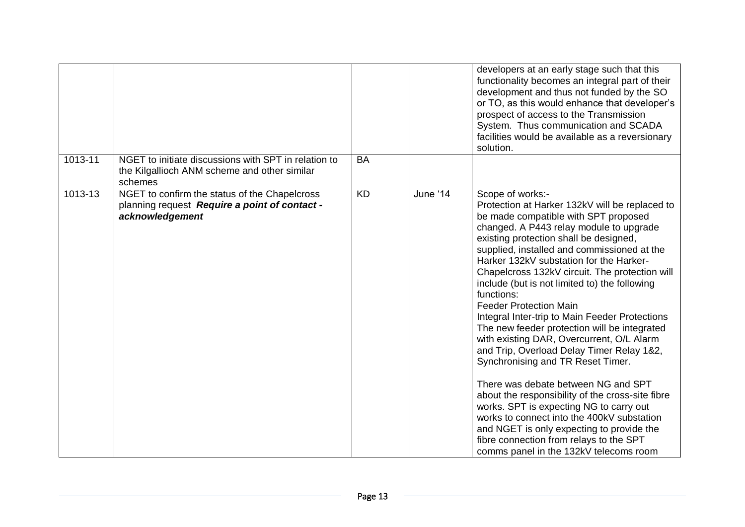|         |                                                                                                                   |           |          | developers at an early stage such that this<br>functionality becomes an integral part of their<br>development and thus not funded by the SO<br>or TO, as this would enhance that developer's<br>prospect of access to the Transmission<br>System. Thus communication and SCADA<br>facilities would be available as a reversionary<br>solution.                                                                                                                                                                                                                                                                                                                                                                                                                                                                                                                                                                                                                                                     |
|---------|-------------------------------------------------------------------------------------------------------------------|-----------|----------|----------------------------------------------------------------------------------------------------------------------------------------------------------------------------------------------------------------------------------------------------------------------------------------------------------------------------------------------------------------------------------------------------------------------------------------------------------------------------------------------------------------------------------------------------------------------------------------------------------------------------------------------------------------------------------------------------------------------------------------------------------------------------------------------------------------------------------------------------------------------------------------------------------------------------------------------------------------------------------------------------|
| 1013-11 | NGET to initiate discussions with SPT in relation to<br>the Kilgallioch ANM scheme and other similar<br>schemes   | <b>BA</b> |          |                                                                                                                                                                                                                                                                                                                                                                                                                                                                                                                                                                                                                                                                                                                                                                                                                                                                                                                                                                                                    |
| 1013-13 | NGET to confirm the status of the Chapelcross<br>planning request Require a point of contact -<br>acknowledgement | <b>KD</b> | June '14 | Scope of works:-<br>Protection at Harker 132kV will be replaced to<br>be made compatible with SPT proposed<br>changed. A P443 relay module to upgrade<br>existing protection shall be designed,<br>supplied, installed and commissioned at the<br>Harker 132kV substation for the Harker-<br>Chapelcross 132kV circuit. The protection will<br>include (but is not limited to) the following<br>functions:<br><b>Feeder Protection Main</b><br>Integral Inter-trip to Main Feeder Protections<br>The new feeder protection will be integrated<br>with existing DAR, Overcurrent, O/L Alarm<br>and Trip, Overload Delay Timer Relay 1&2,<br>Synchronising and TR Reset Timer.<br>There was debate between NG and SPT<br>about the responsibility of the cross-site fibre<br>works. SPT is expecting NG to carry out<br>works to connect into the 400kV substation<br>and NGET is only expecting to provide the<br>fibre connection from relays to the SPT<br>comms panel in the 132kV telecoms room |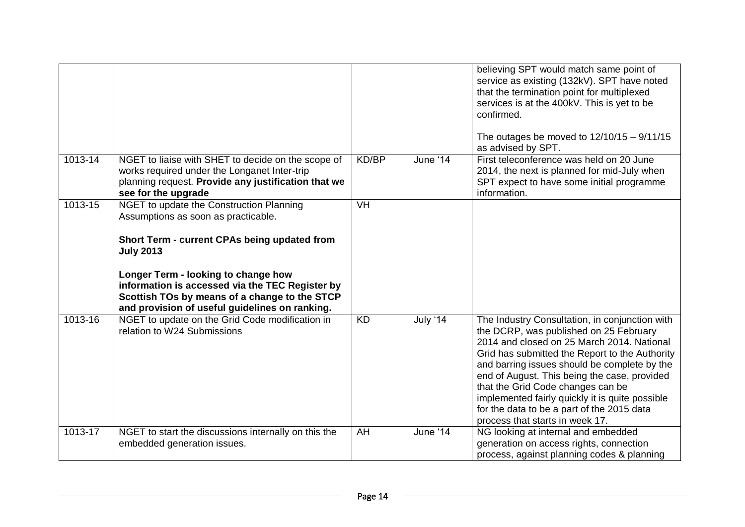|         |                                                                                                                                                                                                                                                                                                                                                  |           |          | believing SPT would match same point of<br>service as existing (132kV). SPT have noted<br>that the termination point for multiplexed<br>services is at the 400kV. This is yet to be<br>confirmed.<br>The outages be moved to $12/10/15 - 9/11/15$<br>as advised by SPT.                                                                                                                                                                                           |
|---------|--------------------------------------------------------------------------------------------------------------------------------------------------------------------------------------------------------------------------------------------------------------------------------------------------------------------------------------------------|-----------|----------|-------------------------------------------------------------------------------------------------------------------------------------------------------------------------------------------------------------------------------------------------------------------------------------------------------------------------------------------------------------------------------------------------------------------------------------------------------------------|
| 1013-14 | NGET to liaise with SHET to decide on the scope of<br>works required under the Longanet Inter-trip<br>planning request. Provide any justification that we<br>see for the upgrade                                                                                                                                                                 | KD/BP     | June '14 | First teleconference was held on 20 June<br>2014, the next is planned for mid-July when<br>SPT expect to have some initial programme<br>information.                                                                                                                                                                                                                                                                                                              |
| 1013-15 | NGET to update the Construction Planning<br>Assumptions as soon as practicable.<br>Short Term - current CPAs being updated from<br><b>July 2013</b><br>Longer Term - looking to change how<br>information is accessed via the TEC Register by<br>Scottish TOs by means of a change to the STCP<br>and provision of useful guidelines on ranking. | <b>VH</b> |          |                                                                                                                                                                                                                                                                                                                                                                                                                                                                   |
| 1013-16 | NGET to update on the Grid Code modification in<br>relation to W24 Submissions                                                                                                                                                                                                                                                                   | <b>KD</b> | July '14 | The Industry Consultation, in conjunction with<br>the DCRP, was published on 25 February<br>2014 and closed on 25 March 2014. National<br>Grid has submitted the Report to the Authority<br>and barring issues should be complete by the<br>end of August. This being the case, provided<br>that the Grid Code changes can be<br>implemented fairly quickly it is quite possible<br>for the data to be a part of the 2015 data<br>process that starts in week 17. |
| 1013-17 | NGET to start the discussions internally on this the<br>embedded generation issues.                                                                                                                                                                                                                                                              | AH        | June '14 | NG looking at internal and embedded<br>generation on access rights, connection<br>process, against planning codes & planning                                                                                                                                                                                                                                                                                                                                      |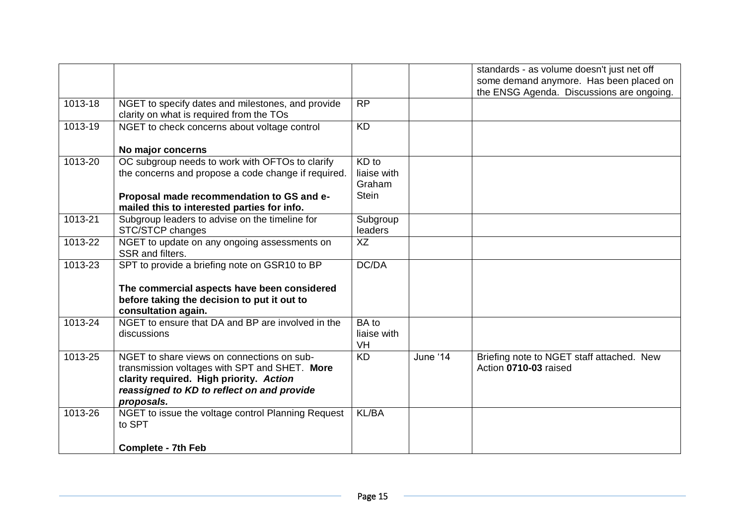|         |                                                                                                                                                                                                    |                                                |          | standards - as volume doesn't just net off<br>some demand anymore. Has been placed on<br>the ENSG Agenda. Discussions are ongoing. |
|---------|----------------------------------------------------------------------------------------------------------------------------------------------------------------------------------------------------|------------------------------------------------|----------|------------------------------------------------------------------------------------------------------------------------------------|
| 1013-18 | NGET to specify dates and milestones, and provide<br>clarity on what is required from the TOs                                                                                                      | <b>RP</b>                                      |          |                                                                                                                                    |
| 1013-19 | NGET to check concerns about voltage control                                                                                                                                                       | <b>KD</b>                                      |          |                                                                                                                                    |
|         | No major concerns                                                                                                                                                                                  |                                                |          |                                                                                                                                    |
| 1013-20 | OC subgroup needs to work with OFTOs to clarify<br>the concerns and propose a code change if required.<br>Proposal made recommendation to GS and e-<br>mailed this to interested parties for info. | KD to<br>liaise with<br>Graham<br><b>Stein</b> |          |                                                                                                                                    |
| 1013-21 | Subgroup leaders to advise on the timeline for<br>STC/STCP changes                                                                                                                                 | Subgroup<br>leaders                            |          |                                                                                                                                    |
| 1013-22 | NGET to update on any ongoing assessments on<br>SSR and filters.                                                                                                                                   | XZ                                             |          |                                                                                                                                    |
| 1013-23 | SPT to provide a briefing note on GSR10 to BP                                                                                                                                                      | DC/DA                                          |          |                                                                                                                                    |
|         | The commercial aspects have been considered<br>before taking the decision to put it out to<br>consultation again.                                                                                  |                                                |          |                                                                                                                                    |
| 1013-24 | NGET to ensure that DA and BP are involved in the<br>discussions                                                                                                                                   | <b>BA</b> to<br>liaise with<br>VH              |          |                                                                                                                                    |
| 1013-25 | NGET to share views on connections on sub-<br>transmission voltages with SPT and SHET. More<br>clarity required. High priority. Action<br>reassigned to KD to reflect on and provide<br>proposals. | <b>KD</b>                                      | June '14 | Briefing note to NGET staff attached. New<br>Action 0710-03 raised                                                                 |
| 1013-26 | NGET to issue the voltage control Planning Request<br>to SPT                                                                                                                                       | <b>KL/BA</b>                                   |          |                                                                                                                                    |
|         | <b>Complete - 7th Feb</b>                                                                                                                                                                          |                                                |          |                                                                                                                                    |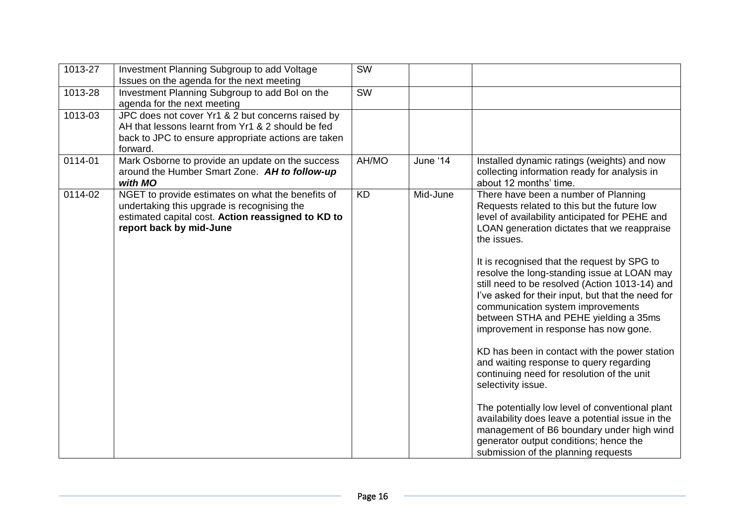| 1013-27 | Investment Planning Subgroup to add Voltage<br>Issues on the agenda for the next meeting                                                                                          | $\overline{\text{SW}}$ |          |                                                                                                                                                                                                                                                                                                                                                                                                                                                                                                                                                                                                                                                                                                                                                                                                                                                                                                                                      |
|---------|-----------------------------------------------------------------------------------------------------------------------------------------------------------------------------------|------------------------|----------|--------------------------------------------------------------------------------------------------------------------------------------------------------------------------------------------------------------------------------------------------------------------------------------------------------------------------------------------------------------------------------------------------------------------------------------------------------------------------------------------------------------------------------------------------------------------------------------------------------------------------------------------------------------------------------------------------------------------------------------------------------------------------------------------------------------------------------------------------------------------------------------------------------------------------------------|
| 1013-28 | Investment Planning Subgroup to add Bol on the<br>agenda for the next meeting                                                                                                     | SW                     |          |                                                                                                                                                                                                                                                                                                                                                                                                                                                                                                                                                                                                                                                                                                                                                                                                                                                                                                                                      |
| 1013-03 | JPC does not cover Yr1 & 2 but concerns raised by<br>AH that lessons learnt from Yr1 & 2 should be fed<br>back to JPC to ensure appropriate actions are taken<br>forward.         |                        |          |                                                                                                                                                                                                                                                                                                                                                                                                                                                                                                                                                                                                                                                                                                                                                                                                                                                                                                                                      |
| 0114-01 | Mark Osborne to provide an update on the success<br>around the Humber Smart Zone. AH to follow-up<br>with MO                                                                      | AH/MO                  | June '14 | Installed dynamic ratings (weights) and now<br>collecting information ready for analysis in<br>about 12 months' time.                                                                                                                                                                                                                                                                                                                                                                                                                                                                                                                                                                                                                                                                                                                                                                                                                |
| 0114-02 | NGET to provide estimates on what the benefits of<br>undertaking this upgrade is recognising the<br>estimated capital cost. Action reassigned to KD to<br>report back by mid-June | <b>KD</b>              | Mid-June | There have been a number of Planning<br>Requests related to this but the future low<br>level of availability anticipated for PEHE and<br>LOAN generation dictates that we reappraise<br>the issues.<br>It is recognised that the request by SPG to<br>resolve the long-standing issue at LOAN may<br>still need to be resolved (Action 1013-14) and<br>I've asked for their input, but that the need for<br>communication system improvements<br>between STHA and PEHE yielding a 35ms<br>improvement in response has now gone.<br>KD has been in contact with the power station<br>and waiting response to query regarding<br>continuing need for resolution of the unit<br>selectivity issue.<br>The potentially low level of conventional plant<br>availability does leave a potential issue in the<br>management of B6 boundary under high wind<br>generator output conditions; hence the<br>submission of the planning requests |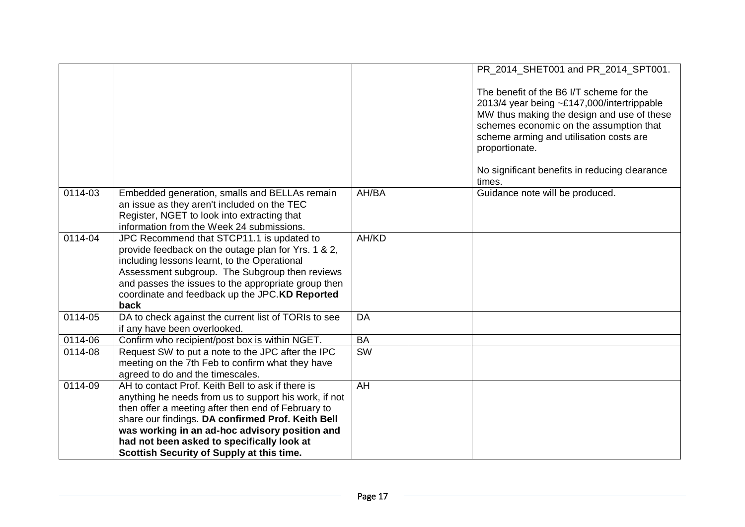|         |                                                                                                                                                                                                                                                                                                                                                                    |                        | PR_2014_SHET001 and PR_2014_SPT001.<br>The benefit of the B6 I/T scheme for the<br>2013/4 year being ~£147,000/intertrippable<br>MW thus making the design and use of these<br>schemes economic on the assumption that<br>scheme arming and utilisation costs are<br>proportionate.<br>No significant benefits in reducing clearance<br>times. |
|---------|--------------------------------------------------------------------------------------------------------------------------------------------------------------------------------------------------------------------------------------------------------------------------------------------------------------------------------------------------------------------|------------------------|------------------------------------------------------------------------------------------------------------------------------------------------------------------------------------------------------------------------------------------------------------------------------------------------------------------------------------------------|
| 0114-03 | Embedded generation, smalls and BELLAs remain<br>an issue as they aren't included on the TEC<br>Register, NGET to look into extracting that<br>information from the Week 24 submissions.                                                                                                                                                                           | AH/BA                  | Guidance note will be produced.                                                                                                                                                                                                                                                                                                                |
| 0114-04 | JPC Recommend that STCP11.1 is updated to<br>provide feedback on the outage plan for Yrs. 1 & 2,<br>including lessons learnt, to the Operational<br>Assessment subgroup. The Subgroup then reviews<br>and passes the issues to the appropriate group then<br>coordinate and feedback up the JPC.KD Reported<br>back                                                | AH/KD                  |                                                                                                                                                                                                                                                                                                                                                |
| 0114-05 | DA to check against the current list of TORIs to see<br>if any have been overlooked.                                                                                                                                                                                                                                                                               | <b>DA</b>              |                                                                                                                                                                                                                                                                                                                                                |
| 0114-06 | Confirm who recipient/post box is within NGET.                                                                                                                                                                                                                                                                                                                     | <b>BA</b>              |                                                                                                                                                                                                                                                                                                                                                |
| 0114-08 | Request SW to put a note to the JPC after the IPC<br>meeting on the 7th Feb to confirm what they have<br>agreed to do and the timescales.                                                                                                                                                                                                                          | $\overline{\text{SW}}$ |                                                                                                                                                                                                                                                                                                                                                |
| 0114-09 | AH to contact Prof. Keith Bell to ask if there is<br>anything he needs from us to support his work, if not<br>then offer a meeting after then end of February to<br>share our findings. DA confirmed Prof. Keith Bell<br>was working in an ad-hoc advisory position and<br>had not been asked to specifically look at<br>Scottish Security of Supply at this time. | <b>AH</b>              |                                                                                                                                                                                                                                                                                                                                                |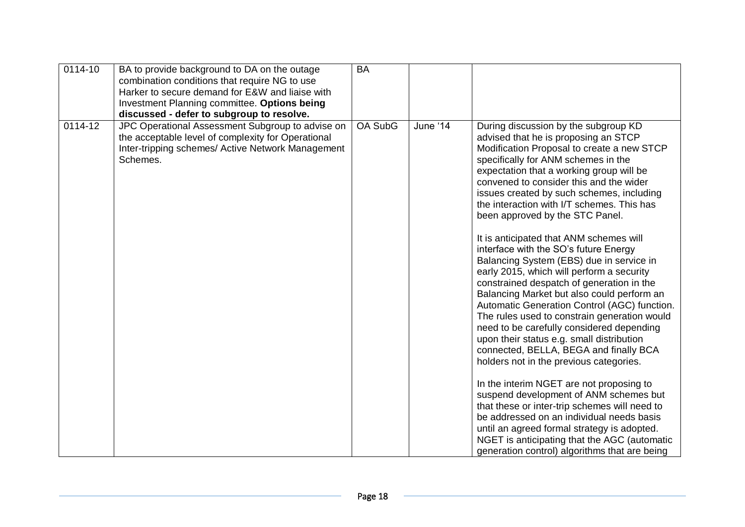| $0114 - 10$ | BA to provide background to DA on the outage<br>combination conditions that require NG to use<br>Harker to secure demand for E&W and liaise with<br>Investment Planning committee. Options being<br>discussed - defer to subgroup to resolve. | <b>BA</b>      |          |                                                                                                                                                                                                                                                                                                                                                                                                                                                                                                                                                                                                                                                                                                                                                                                                                                                                                                                                                                                                                                                                                                                                                                                                                                                                                   |
|-------------|-----------------------------------------------------------------------------------------------------------------------------------------------------------------------------------------------------------------------------------------------|----------------|----------|-----------------------------------------------------------------------------------------------------------------------------------------------------------------------------------------------------------------------------------------------------------------------------------------------------------------------------------------------------------------------------------------------------------------------------------------------------------------------------------------------------------------------------------------------------------------------------------------------------------------------------------------------------------------------------------------------------------------------------------------------------------------------------------------------------------------------------------------------------------------------------------------------------------------------------------------------------------------------------------------------------------------------------------------------------------------------------------------------------------------------------------------------------------------------------------------------------------------------------------------------------------------------------------|
| $0114 - 12$ | JPC Operational Assessment Subgroup to advise on<br>the acceptable level of complexity for Operational<br>Inter-tripping schemes/ Active Network Management<br>Schemes.                                                                       | <b>OA SubG</b> | June '14 | During discussion by the subgroup KD<br>advised that he is proposing an STCP<br>Modification Proposal to create a new STCP<br>specifically for ANM schemes in the<br>expectation that a working group will be<br>convened to consider this and the wider<br>issues created by such schemes, including<br>the interaction with I/T schemes. This has<br>been approved by the STC Panel.<br>It is anticipated that ANM schemes will<br>interface with the SO's future Energy<br>Balancing System (EBS) due in service in<br>early 2015, which will perform a security<br>constrained despatch of generation in the<br>Balancing Market but also could perform an<br>Automatic Generation Control (AGC) function.<br>The rules used to constrain generation would<br>need to be carefully considered depending<br>upon their status e.g. small distribution<br>connected, BELLA, BEGA and finally BCA<br>holders not in the previous categories.<br>In the interim NGET are not proposing to<br>suspend development of ANM schemes but<br>that these or inter-trip schemes will need to<br>be addressed on an individual needs basis<br>until an agreed formal strategy is adopted.<br>NGET is anticipating that the AGC (automatic<br>generation control) algorithms that are being |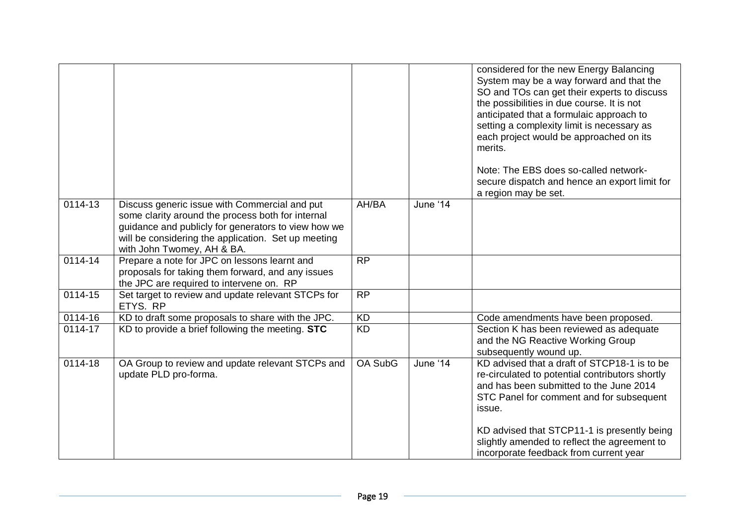|             |                                                                                                                                                                                                                                                |                 |          | considered for the new Energy Balancing<br>System may be a way forward and that the<br>SO and TOs can get their experts to discuss<br>the possibilities in due course. It is not<br>anticipated that a formulaic approach to<br>setting a complexity limit is necessary as<br>each project would be approached on its<br>merits.<br>Note: The EBS does so-called network-<br>secure dispatch and hence an export limit for<br>a region may be set. |
|-------------|------------------------------------------------------------------------------------------------------------------------------------------------------------------------------------------------------------------------------------------------|-----------------|----------|----------------------------------------------------------------------------------------------------------------------------------------------------------------------------------------------------------------------------------------------------------------------------------------------------------------------------------------------------------------------------------------------------------------------------------------------------|
| 0114-13     | Discuss generic issue with Commercial and put<br>some clarity around the process both for internal<br>guidance and publicly for generators to view how we<br>will be considering the application. Set up meeting<br>with John Twomey, AH & BA. | AH/BA           | June '14 |                                                                                                                                                                                                                                                                                                                                                                                                                                                    |
| 0114-14     | Prepare a note for JPC on lessons learnt and<br>proposals for taking them forward, and any issues<br>the JPC are required to intervene on. RP                                                                                                  | <b>RP</b>       |          |                                                                                                                                                                                                                                                                                                                                                                                                                                                    |
| $0114 - 15$ | Set target to review and update relevant STCPs for<br>ETYS. RP                                                                                                                                                                                 | <b>RP</b>       |          |                                                                                                                                                                                                                                                                                                                                                                                                                                                    |
| 0114-16     | KD to draft some proposals to share with the JPC.                                                                                                                                                                                              | <b>KD</b>       |          | Code amendments have been proposed.                                                                                                                                                                                                                                                                                                                                                                                                                |
| 0114-17     | KD to provide a brief following the meeting. STC                                                                                                                                                                                               | $\overline{KD}$ |          | Section K has been reviewed as adequate<br>and the NG Reactive Working Group<br>subsequently wound up.                                                                                                                                                                                                                                                                                                                                             |
| 0114-18     | OA Group to review and update relevant STCPs and<br>update PLD pro-forma.                                                                                                                                                                      | OA SubG         | June '14 | KD advised that a draft of STCP18-1 is to be<br>re-circulated to potential contributors shortly<br>and has been submitted to the June 2014<br>STC Panel for comment and for subsequent<br>issue.<br>KD advised that STCP11-1 is presently being<br>slightly amended to reflect the agreement to<br>incorporate feedback from current year                                                                                                          |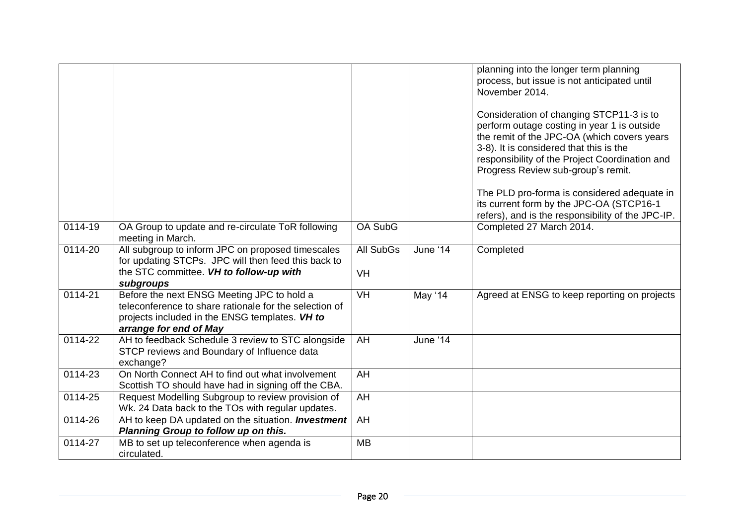|             |                                                                                                                                                                                  |                        |          | planning into the longer term planning<br>process, but issue is not anticipated until<br>November 2014.<br>Consideration of changing STCP11-3 is to<br>perform outage costing in year 1 is outside<br>the remit of the JPC-OA (which covers years<br>3-8). It is considered that this is the<br>responsibility of the Project Coordination and<br>Progress Review sub-group's remit. |
|-------------|----------------------------------------------------------------------------------------------------------------------------------------------------------------------------------|------------------------|----------|--------------------------------------------------------------------------------------------------------------------------------------------------------------------------------------------------------------------------------------------------------------------------------------------------------------------------------------------------------------------------------------|
|             |                                                                                                                                                                                  |                        |          | The PLD pro-forma is considered adequate in<br>its current form by the JPC-OA (STCP16-1<br>refers), and is the responsibility of the JPC-IP.                                                                                                                                                                                                                                         |
| 0114-19     | OA Group to update and re-circulate ToR following<br>meeting in March.                                                                                                           | <b>OA SubG</b>         |          | Completed 27 March 2014.                                                                                                                                                                                                                                                                                                                                                             |
| 0114-20     | All subgroup to inform JPC on proposed timescales<br>for updating STCPs. JPC will then feed this back to<br>the STC committee. VH to follow-up with<br>subgroups                 | All SubGs<br><b>VH</b> | June '14 | Completed                                                                                                                                                                                                                                                                                                                                                                            |
| 0114-21     | Before the next ENSG Meeting JPC to hold a<br>teleconference to share rationale for the selection of<br>projects included in the ENSG templates. VH to<br>arrange for end of May | <b>VH</b>              | May '14  | Agreed at ENSG to keep reporting on projects                                                                                                                                                                                                                                                                                                                                         |
| 0114-22     | AH to feedback Schedule 3 review to STC alongside<br>STCP reviews and Boundary of Influence data<br>exchange?                                                                    | AH                     | June '14 |                                                                                                                                                                                                                                                                                                                                                                                      |
| $0114 - 23$ | On North Connect AH to find out what involvement<br>Scottish TO should have had in signing off the CBA.                                                                          | $\overline{AH}$        |          |                                                                                                                                                                                                                                                                                                                                                                                      |
| 0114-25     | Request Modelling Subgroup to review provision of<br>Wk. 24 Data back to the TOs with regular updates.                                                                           | AH                     |          |                                                                                                                                                                                                                                                                                                                                                                                      |
| 0114-26     | AH to keep DA updated on the situation. <b>Investment</b><br>Planning Group to follow up on this.                                                                                | AH                     |          |                                                                                                                                                                                                                                                                                                                                                                                      |
| 0114-27     | MB to set up teleconference when agenda is<br>circulated.                                                                                                                        | <b>MB</b>              |          |                                                                                                                                                                                                                                                                                                                                                                                      |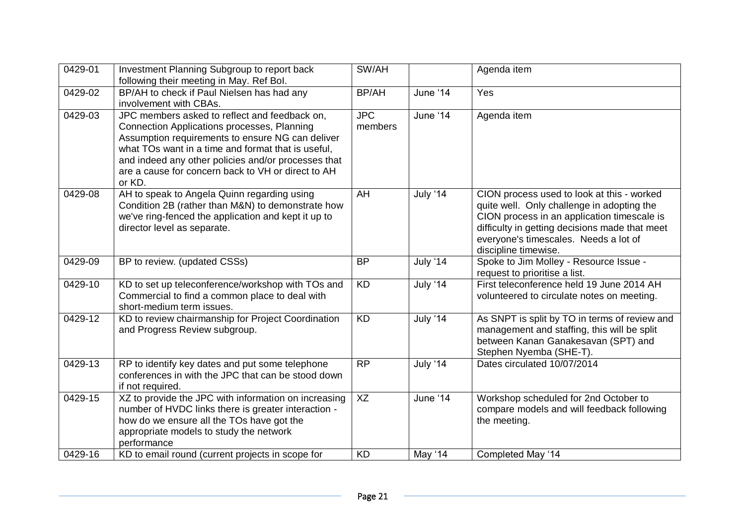| 0429-01 | Investment Planning Subgroup to report back<br>following their meeting in May. Ref Bol.                                                                                                                                                                                                                                              | SW/AH                 |                 | Agenda item                                                                                                                                                                                                                                                |
|---------|--------------------------------------------------------------------------------------------------------------------------------------------------------------------------------------------------------------------------------------------------------------------------------------------------------------------------------------|-----------------------|-----------------|------------------------------------------------------------------------------------------------------------------------------------------------------------------------------------------------------------------------------------------------------------|
| 0429-02 | BP/AH to check if Paul Nielsen has had any<br>involvement with CBAs.                                                                                                                                                                                                                                                                 | BP/AH                 | June '14        | Yes                                                                                                                                                                                                                                                        |
| 0429-03 | JPC members asked to reflect and feedback on,<br><b>Connection Applications processes, Planning</b><br>Assumption requirements to ensure NG can deliver<br>what TOs want in a time and format that is useful,<br>and indeed any other policies and/or processes that<br>are a cause for concern back to VH or direct to AH<br>or KD. | <b>JPC</b><br>members | June '14        | Agenda item                                                                                                                                                                                                                                                |
| 0429-08 | AH to speak to Angela Quinn regarding using<br>Condition 2B (rather than M&N) to demonstrate how<br>we've ring-fenced the application and kept it up to<br>director level as separate.                                                                                                                                               | AH                    | July '14        | CION process used to look at this - worked<br>quite well. Only challenge in adopting the<br>CION process in an application timescale is<br>difficulty in getting decisions made that meet<br>everyone's timescales. Needs a lot of<br>discipline timewise. |
| 0429-09 | BP to review. (updated CSSs)                                                                                                                                                                                                                                                                                                         | <b>BP</b>             | July '14        | Spoke to Jim Molley - Resource Issue -<br>request to prioritise a list.                                                                                                                                                                                    |
| 0429-10 | KD to set up teleconference/workshop with TOs and<br>Commercial to find a common place to deal with<br>short-medium term issues.                                                                                                                                                                                                     | <b>KD</b>             | <b>July '14</b> | First teleconference held 19 June 2014 AH<br>volunteered to circulate notes on meeting.                                                                                                                                                                    |
| 0429-12 | KD to review chairmanship for Project Coordination<br>and Progress Review subgroup.                                                                                                                                                                                                                                                  | <b>KD</b>             | July '14        | As SNPT is split by TO in terms of review and<br>management and staffing, this will be split<br>between Kanan Ganakesavan (SPT) and<br>Stephen Nyemba (SHE-T).                                                                                             |
| 0429-13 | RP to identify key dates and put some telephone<br>conferences in with the JPC that can be stood down<br>if not required.                                                                                                                                                                                                            | <b>RP</b>             | July '14        | Dates circulated 10/07/2014                                                                                                                                                                                                                                |
| 0429-15 | XZ to provide the JPC with information on increasing<br>number of HVDC links there is greater interaction -<br>how do we ensure all the TOs have got the<br>appropriate models to study the network<br>performance                                                                                                                   | XZ                    | June '14        | Workshop scheduled for 2nd October to<br>compare models and will feedback following<br>the meeting.                                                                                                                                                        |
| 0429-16 | KD to email round (current projects in scope for                                                                                                                                                                                                                                                                                     | <b>KD</b>             | May '14         | Completed May '14                                                                                                                                                                                                                                          |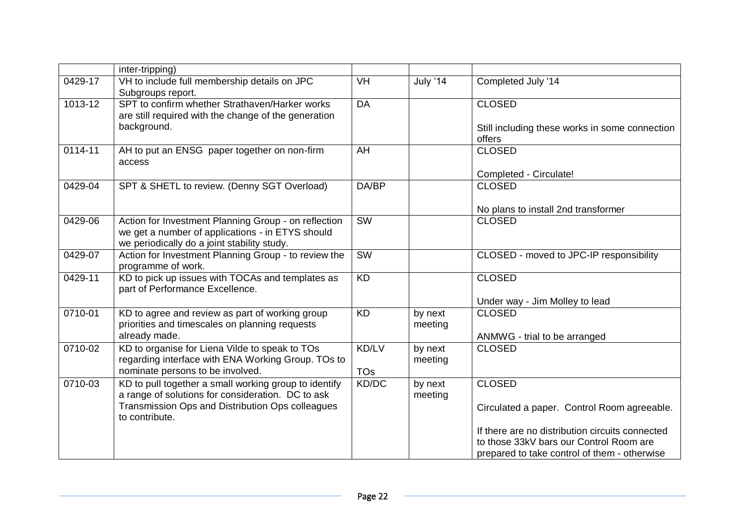|             | inter-tripping)                                                                                                                                         |                        |                    |                                                          |
|-------------|---------------------------------------------------------------------------------------------------------------------------------------------------------|------------------------|--------------------|----------------------------------------------------------|
| 0429-17     | VH to include full membership details on JPC<br>Subgroups report.                                                                                       | <b>VH</b>              | July '14           | Completed July '14                                       |
| $1013 - 12$ | SPT to confirm whether Strathaven/Harker works<br>are still required with the change of the generation                                                  | DA                     |                    | <b>CLOSED</b>                                            |
|             | background.                                                                                                                                             |                        |                    | Still including these works in some connection<br>offers |
| $0114 - 11$ | AH to put an ENSG paper together on non-firm<br>access                                                                                                  | AH                     |                    | <b>CLOSED</b>                                            |
|             |                                                                                                                                                         |                        |                    | Completed - Circulate!                                   |
| 0429-04     | SPT & SHETL to review. (Denny SGT Overload)                                                                                                             | DA/BP                  |                    | <b>CLOSED</b>                                            |
|             |                                                                                                                                                         |                        |                    | No plans to install 2nd transformer                      |
| 0429-06     | Action for Investment Planning Group - on reflection<br>we get a number of applications - in ETYS should<br>we periodically do a joint stability study. | SW                     |                    | <b>CLOSED</b>                                            |
| 0429-07     | Action for Investment Planning Group - to review the<br>programme of work.                                                                              | $\overline{\text{SW}}$ |                    | CLOSED - moved to JPC-IP responsibility                  |
| 0429-11     | KD to pick up issues with TOCAs and templates as<br>part of Performance Excellence.                                                                     | $\overline{KD}$        |                    | <b>CLOSED</b>                                            |
|             |                                                                                                                                                         |                        |                    | Under way - Jim Molley to lead                           |
| 0710-01     | KD to agree and review as part of working group<br>priorities and timescales on planning requests                                                       | <b>KD</b>              | by next<br>meeting | <b>CLOSED</b>                                            |
|             | already made.                                                                                                                                           |                        |                    | ANMWG - trial to be arranged                             |
| 0710-02     | KD to organise for Liena Vilde to speak to TOs                                                                                                          | KD/LV                  | by next            | <b>CLOSED</b>                                            |
|             | regarding interface with ENA Working Group. TOs to                                                                                                      |                        | meeting            |                                                          |
|             | nominate persons to be involved.                                                                                                                        | <b>TOs</b>             |                    |                                                          |
| 0710-03     | KD to pull together a small working group to identify                                                                                                   | KD/DC                  | by next            | <b>CLOSED</b>                                            |
|             | a range of solutions for consideration. DC to ask                                                                                                       |                        | meeting            |                                                          |
|             | Transmission Ops and Distribution Ops colleagues<br>to contribute.                                                                                      |                        |                    | Circulated a paper. Control Room agreeable.              |
|             |                                                                                                                                                         |                        |                    | If there are no distribution circuits connected          |
|             |                                                                                                                                                         |                        |                    | to those 33kV bars our Control Room are                  |
|             |                                                                                                                                                         |                        |                    | prepared to take control of them - otherwise             |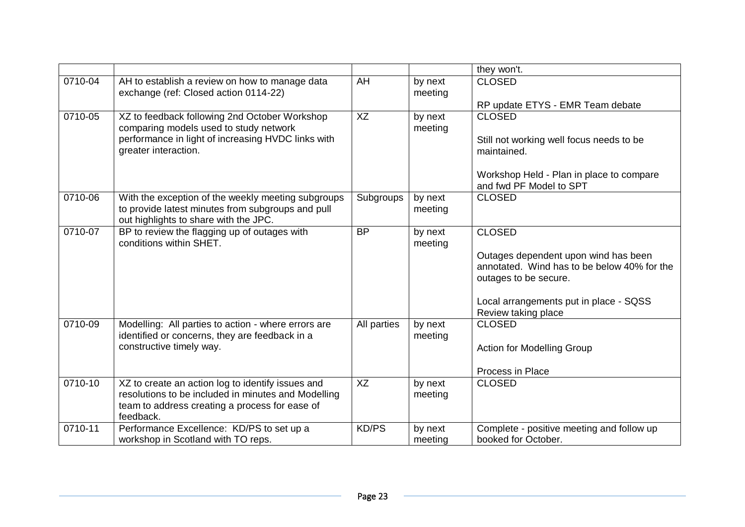|         |                                                                                                                                                                         |              |                    | they won't.                                                                                                  |
|---------|-------------------------------------------------------------------------------------------------------------------------------------------------------------------------|--------------|--------------------|--------------------------------------------------------------------------------------------------------------|
| 0710-04 | AH to establish a review on how to manage data<br>exchange (ref: Closed action 0114-22)                                                                                 | AH           | by next<br>meeting | <b>CLOSED</b>                                                                                                |
|         |                                                                                                                                                                         |              |                    | RP update ETYS - EMR Team debate                                                                             |
| 0710-05 | XZ to feedback following 2nd October Workshop<br>comparing models used to study network                                                                                 | XZ           | by next<br>meeting | <b>CLOSED</b>                                                                                                |
|         | performance in light of increasing HVDC links with<br>greater interaction.                                                                                              |              |                    | Still not working well focus needs to be<br>maintained.                                                      |
|         |                                                                                                                                                                         |              |                    | Workshop Held - Plan in place to compare<br>and fwd PF Model to SPT                                          |
| 0710-06 | With the exception of the weekly meeting subgroups<br>to provide latest minutes from subgroups and pull                                                                 | Subgroups    | by next<br>meeting | <b>CLOSED</b>                                                                                                |
|         | out highlights to share with the JPC.                                                                                                                                   |              |                    |                                                                                                              |
| 0710-07 | BP to review the flagging up of outages with                                                                                                                            | <b>BP</b>    | by next            | <b>CLOSED</b>                                                                                                |
|         | conditions within SHET.                                                                                                                                                 |              | meeting            | Outages dependent upon wind has been<br>annotated. Wind has to be below 40% for the<br>outages to be secure. |
|         |                                                                                                                                                                         |              |                    | Local arrangements put in place - SQSS<br>Review taking place                                                |
| 0710-09 | Modelling: All parties to action - where errors are<br>identified or concerns, they are feedback in a                                                                   | All parties  | by next<br>meeting | <b>CLOSED</b>                                                                                                |
|         | constructive timely way.                                                                                                                                                |              |                    | <b>Action for Modelling Group</b>                                                                            |
|         |                                                                                                                                                                         |              |                    | Process in Place                                                                                             |
| 0710-10 | XZ to create an action log to identify issues and<br>resolutions to be included in minutes and Modelling<br>team to address creating a process for ease of<br>feedback. | XZ           | by next<br>meeting | <b>CLOSED</b>                                                                                                |
| 0710-11 | Performance Excellence: KD/PS to set up a<br>workshop in Scotland with TO reps.                                                                                         | <b>KD/PS</b> | by next<br>meeting | Complete - positive meeting and follow up<br>booked for October.                                             |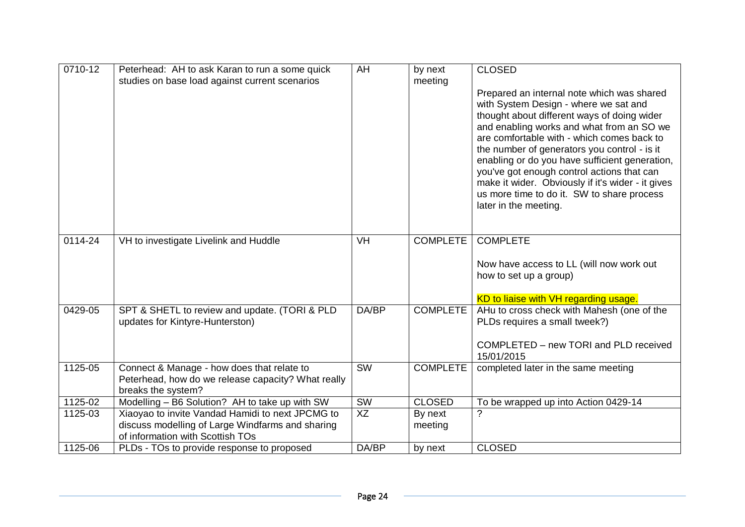| $0710 - 12$ | Peterhead: AH to ask Karan to run a some quick<br>studies on base load against current scenarios                                         | AH        | by next<br>meeting | <b>CLOSED</b><br>Prepared an internal note which was shared<br>with System Design - where we sat and<br>thought about different ways of doing wider<br>and enabling works and what from an SO we<br>are comfortable with - which comes back to<br>the number of generators you control - is it<br>enabling or do you have sufficient generation,<br>you've got enough control actions that can<br>make it wider. Obviously if it's wider - it gives<br>us more time to do it. SW to share process<br>later in the meeting. |
|-------------|------------------------------------------------------------------------------------------------------------------------------------------|-----------|--------------------|----------------------------------------------------------------------------------------------------------------------------------------------------------------------------------------------------------------------------------------------------------------------------------------------------------------------------------------------------------------------------------------------------------------------------------------------------------------------------------------------------------------------------|
| 0114-24     | VH to investigate Livelink and Huddle                                                                                                    | <b>VH</b> | <b>COMPLETE</b>    | <b>COMPLETE</b><br>Now have access to LL (will now work out<br>how to set up a group)<br>KD to liaise with VH regarding usage.                                                                                                                                                                                                                                                                                                                                                                                             |
| 0429-05     | SPT & SHETL to review and update. (TORI & PLD<br>updates for Kintyre-Hunterston)                                                         | DA/BP     | <b>COMPLETE</b>    | AHu to cross check with Mahesh (one of the<br>PLDs requires a small tweek?)<br>COMPLETED - new TORI and PLD received<br>15/01/2015                                                                                                                                                                                                                                                                                                                                                                                         |
| 1125-05     | Connect & Manage - how does that relate to<br>Peterhead, how do we release capacity? What really<br>breaks the system?                   | <b>SW</b> | <b>COMPLETE</b>    | completed later in the same meeting                                                                                                                                                                                                                                                                                                                                                                                                                                                                                        |
| 1125-02     | Modelling - B6 Solution? AH to take up with SW                                                                                           | SW        | <b>CLOSED</b>      | To be wrapped up into Action 0429-14                                                                                                                                                                                                                                                                                                                                                                                                                                                                                       |
| 1125-03     | Xiaoyao to invite Vandad Hamidi to next JPCMG to<br>discuss modelling of Large Windfarms and sharing<br>of information with Scottish TOs | XZ        | By next<br>meeting | ?                                                                                                                                                                                                                                                                                                                                                                                                                                                                                                                          |
| 1125-06     | PLDs - TOs to provide response to proposed                                                                                               | DA/BP     | by next            | <b>CLOSED</b>                                                                                                                                                                                                                                                                                                                                                                                                                                                                                                              |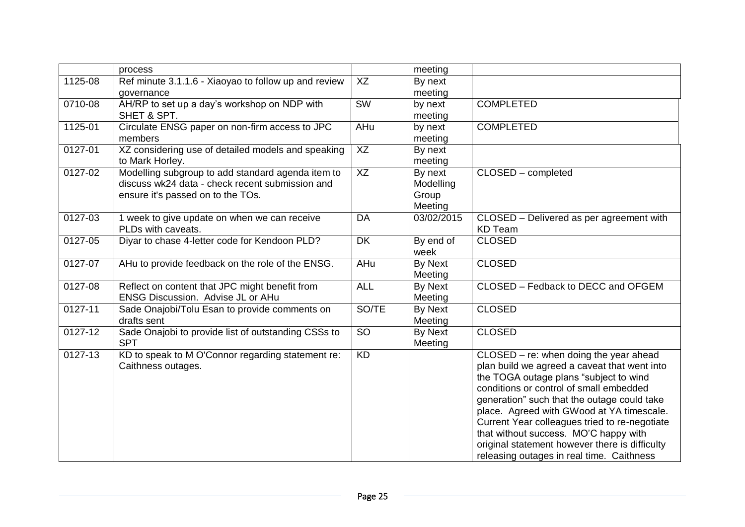|         | process                                                                                                                                   |                        | meeting                                  |                                                                                                                                                                                                                                                                                                                                                                                                                                                                  |
|---------|-------------------------------------------------------------------------------------------------------------------------------------------|------------------------|------------------------------------------|------------------------------------------------------------------------------------------------------------------------------------------------------------------------------------------------------------------------------------------------------------------------------------------------------------------------------------------------------------------------------------------------------------------------------------------------------------------|
| 1125-08 | Ref minute 3.1.1.6 - Xiaoyao to follow up and review<br>governance                                                                        | XZ                     | By next<br>meeting                       |                                                                                                                                                                                                                                                                                                                                                                                                                                                                  |
| 0710-08 | AH/RP to set up a day's workshop on NDP with<br>SHET & SPT.                                                                               | $\overline{\text{SW}}$ | by next<br>meeting                       | <b>COMPLETED</b>                                                                                                                                                                                                                                                                                                                                                                                                                                                 |
| 1125-01 | Circulate ENSG paper on non-firm access to JPC<br>members                                                                                 | AHu                    | by next<br>meeting                       | <b>COMPLETED</b>                                                                                                                                                                                                                                                                                                                                                                                                                                                 |
| 0127-01 | XZ considering use of detailed models and speaking<br>to Mark Horley.                                                                     | XZ                     | By next<br>meeting                       |                                                                                                                                                                                                                                                                                                                                                                                                                                                                  |
| 0127-02 | Modelling subgroup to add standard agenda item to<br>discuss wk24 data - check recent submission and<br>ensure it's passed on to the TOs. | XZ                     | By next<br>Modelling<br>Group<br>Meeting | CLOSED - completed                                                                                                                                                                                                                                                                                                                                                                                                                                               |
| 0127-03 | 1 week to give update on when we can receive<br>PLDs with caveats.                                                                        | DA                     | 03/02/2015                               | CLOSED - Delivered as per agreement with<br><b>KD</b> Team                                                                                                                                                                                                                                                                                                                                                                                                       |
| 0127-05 | Diyar to chase 4-letter code for Kendoon PLD?                                                                                             | <b>DK</b>              | By end of<br>week                        | <b>CLOSED</b>                                                                                                                                                                                                                                                                                                                                                                                                                                                    |
| 0127-07 | AHu to provide feedback on the role of the ENSG.                                                                                          | AHu                    | <b>By Next</b><br>Meeting                | <b>CLOSED</b>                                                                                                                                                                                                                                                                                                                                                                                                                                                    |
| 0127-08 | Reflect on content that JPC might benefit from<br>ENSG Discussion. Advise JL or AHu                                                       | <b>ALL</b>             | <b>By Next</b><br>Meeting                | CLOSED - Fedback to DECC and OFGEM                                                                                                                                                                                                                                                                                                                                                                                                                               |
| 0127-11 | Sade Onajobi/Tolu Esan to provide comments on<br>drafts sent                                                                              | SO/TE                  | <b>By Next</b><br>Meeting                | <b>CLOSED</b>                                                                                                                                                                                                                                                                                                                                                                                                                                                    |
| 0127-12 | Sade Onajobi to provide list of outstanding CSSs to<br><b>SPT</b>                                                                         | SO                     | <b>By Next</b><br>Meeting                | <b>CLOSED</b>                                                                                                                                                                                                                                                                                                                                                                                                                                                    |
| 0127-13 | KD to speak to M O'Connor regarding statement re:<br>Caithness outages.                                                                   | KD                     |                                          | CLOSED - re: when doing the year ahead<br>plan build we agreed a caveat that went into<br>the TOGA outage plans "subject to wind<br>conditions or control of small embedded<br>generation" such that the outage could take<br>place. Agreed with GWood at YA timescale.<br>Current Year colleagues tried to re-negotiate<br>that without success. MO'C happy with<br>original statement however there is difficulty<br>releasing outages in real time. Caithness |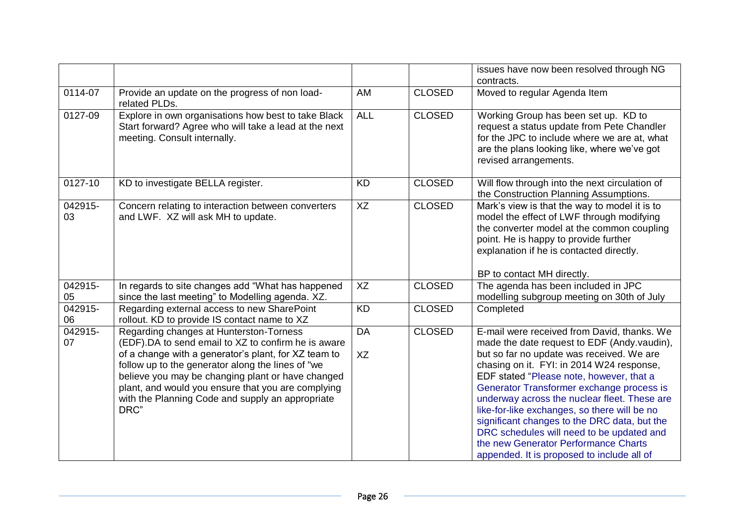|               |                                                                                                                                                                                                                                                                                                                                                                                    |                 |               | issues have now been resolved through NG<br>contracts.                                                                                                                                                                                                                                                                                                                                                                                                                                                                                                           |
|---------------|------------------------------------------------------------------------------------------------------------------------------------------------------------------------------------------------------------------------------------------------------------------------------------------------------------------------------------------------------------------------------------|-----------------|---------------|------------------------------------------------------------------------------------------------------------------------------------------------------------------------------------------------------------------------------------------------------------------------------------------------------------------------------------------------------------------------------------------------------------------------------------------------------------------------------------------------------------------------------------------------------------------|
| 0114-07       | Provide an update on the progress of non load-<br>related PLDs.                                                                                                                                                                                                                                                                                                                    | AM              | <b>CLOSED</b> | Moved to regular Agenda Item                                                                                                                                                                                                                                                                                                                                                                                                                                                                                                                                     |
| 0127-09       | Explore in own organisations how best to take Black<br>Start forward? Agree who will take a lead at the next<br>meeting. Consult internally.                                                                                                                                                                                                                                       | <b>ALL</b>      | <b>CLOSED</b> | Working Group has been set up. KD to<br>request a status update from Pete Chandler<br>for the JPC to include where we are at, what<br>are the plans looking like, where we've got<br>revised arrangements.                                                                                                                                                                                                                                                                                                                                                       |
| $0127 - 10$   | KD to investigate BELLA register.                                                                                                                                                                                                                                                                                                                                                  | <b>KD</b>       | <b>CLOSED</b> | Will flow through into the next circulation of<br>the Construction Planning Assumptions.                                                                                                                                                                                                                                                                                                                                                                                                                                                                         |
| 042915-<br>03 | Concern relating to interaction between converters<br>and LWF. XZ will ask MH to update.                                                                                                                                                                                                                                                                                           | XZ              | <b>CLOSED</b> | Mark's view is that the way to model it is to<br>model the effect of LWF through modifying<br>the converter model at the common coupling<br>point. He is happy to provide further<br>explanation if he is contacted directly.<br>BP to contact MH directly.                                                                                                                                                                                                                                                                                                      |
| 042915-<br>05 | In regards to site changes add "What has happened<br>since the last meeting" to Modelling agenda. XZ.                                                                                                                                                                                                                                                                              | XZ              | <b>CLOSED</b> | The agenda has been included in JPC<br>modelling subgroup meeting on 30th of July                                                                                                                                                                                                                                                                                                                                                                                                                                                                                |
| 042915-<br>06 | Regarding external access to new SharePoint<br>rollout. KD to provide IS contact name to XZ                                                                                                                                                                                                                                                                                        | <b>KD</b>       | <b>CLOSED</b> | Completed                                                                                                                                                                                                                                                                                                                                                                                                                                                                                                                                                        |
| 042915-<br>07 | Regarding changes at Hunterston-Torness<br>(EDF).DA to send email to XZ to confirm he is aware<br>of a change with a generator's plant, for XZ team to<br>follow up to the generator along the lines of "we<br>believe you may be changing plant or have changed<br>plant, and would you ensure that you are complying<br>with the Planning Code and supply an appropriate<br>DRC" | <b>DA</b><br>XZ | <b>CLOSED</b> | E-mail were received from David, thanks. We<br>made the date request to EDF (Andy.vaudin),<br>but so far no update was received. We are<br>chasing on it. FYI: in 2014 W24 response,<br>EDF stated "Please note, however, that a<br>Generator Transformer exchange process is<br>underway across the nuclear fleet. These are<br>like-for-like exchanges, so there will be no<br>significant changes to the DRC data, but the<br>DRC schedules will need to be updated and<br>the new Generator Performance Charts<br>appended. It is proposed to include all of |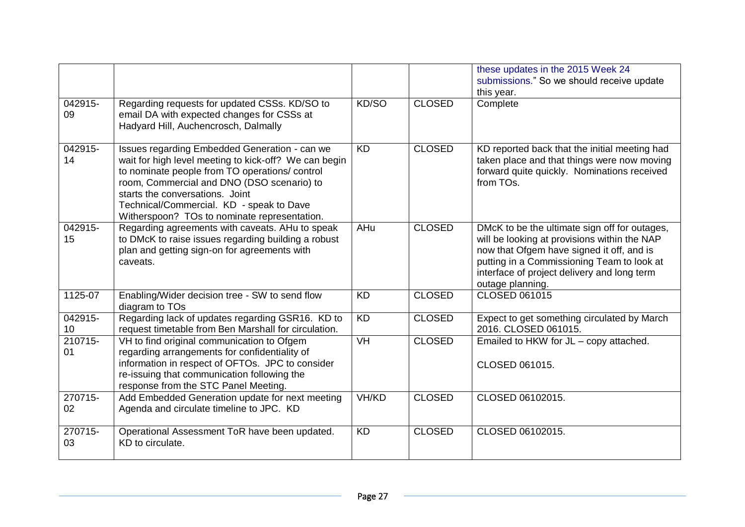|               |                                                                                                                                                                                                                                                                                                                                       |           |               | these updates in the 2015 Week 24<br>submissions." So we should receive update<br>this year.                                                                                                                                                                |
|---------------|---------------------------------------------------------------------------------------------------------------------------------------------------------------------------------------------------------------------------------------------------------------------------------------------------------------------------------------|-----------|---------------|-------------------------------------------------------------------------------------------------------------------------------------------------------------------------------------------------------------------------------------------------------------|
| 042915-<br>09 | Regarding requests for updated CSSs. KD/SO to<br>email DA with expected changes for CSSs at<br>Hadyard Hill, Auchencrosch, Dalmally                                                                                                                                                                                                   | KD/SO     | <b>CLOSED</b> | Complete                                                                                                                                                                                                                                                    |
| 042915-<br>14 | Issues regarding Embedded Generation - can we<br>wait for high level meeting to kick-off? We can begin<br>to nominate people from TO operations/ control<br>room, Commercial and DNO (DSO scenario) to<br>starts the conversations. Joint<br>Technical/Commercial. KD - speak to Dave<br>Witherspoon? TOs to nominate representation. | <b>KD</b> | <b>CLOSED</b> | KD reported back that the initial meeting had<br>taken place and that things were now moving<br>forward quite quickly. Nominations received<br>from TOs.                                                                                                    |
| 042915-<br>15 | Regarding agreements with caveats. AHu to speak<br>to DMcK to raise issues regarding building a robust<br>plan and getting sign-on for agreements with<br>caveats.                                                                                                                                                                    | AHu       | <b>CLOSED</b> | DMcK to be the ultimate sign off for outages,<br>will be looking at provisions within the NAP<br>now that Ofgem have signed it off, and is<br>putting in a Commissioning Team to look at<br>interface of project delivery and long term<br>outage planning. |
| 1125-07       | Enabling/Wider decision tree - SW to send flow<br>diagram to TOs                                                                                                                                                                                                                                                                      | <b>KD</b> | <b>CLOSED</b> | <b>CLOSED 061015</b>                                                                                                                                                                                                                                        |
| 042915-<br>10 | Regarding lack of updates regarding GSR16. KD to<br>request timetable from Ben Marshall for circulation.                                                                                                                                                                                                                              | <b>KD</b> | <b>CLOSED</b> | Expect to get something circulated by March<br>2016. CLOSED 061015.                                                                                                                                                                                         |
| 210715-<br>01 | VH to find original communication to Ofgem<br>regarding arrangements for confidentiality of<br>information in respect of OFTOs. JPC to consider<br>re-issuing that communication following the<br>response from the STC Panel Meeting.                                                                                                | <b>VH</b> | <b>CLOSED</b> | Emailed to HKW for JL - copy attached.<br>CLOSED 061015.                                                                                                                                                                                                    |
| 270715-<br>02 | Add Embedded Generation update for next meeting<br>Agenda and circulate timeline to JPC. KD                                                                                                                                                                                                                                           | VH/KD     | <b>CLOSED</b> | CLOSED 06102015.                                                                                                                                                                                                                                            |
| 270715-<br>03 | Operational Assessment ToR have been updated.<br>KD to circulate.                                                                                                                                                                                                                                                                     | <b>KD</b> | <b>CLOSED</b> | CLOSED 06102015.                                                                                                                                                                                                                                            |